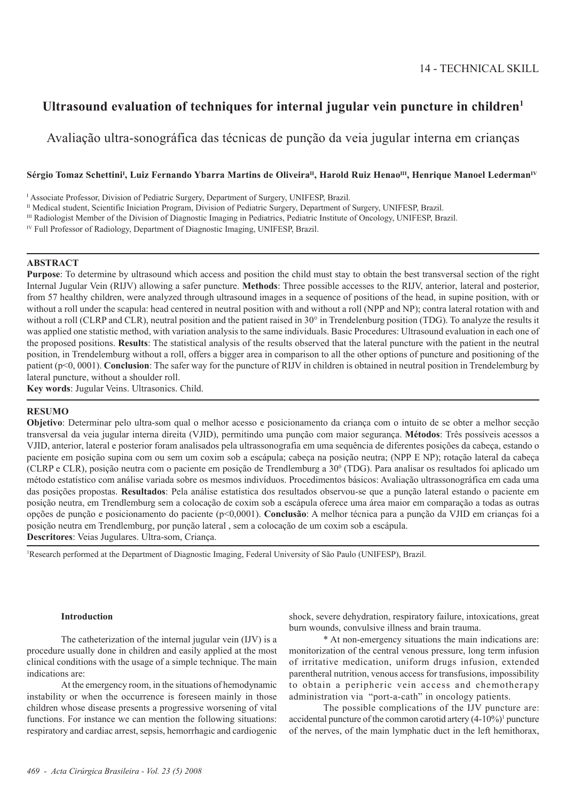# **Ultrasound evaluation of techniques for internal jugular vein puncture in children1**

Avaliação ultra-sonográfica das técnicas de punção da veia jugular interna em crianças

# Sérgio Tomaz Schettini<sup>ı</sup>, Luiz Fernando Ybarra Martins de Oliveira<sup>n</sup>, Harold Ruiz Henao<sup>m</sup>, Henrique Manoel Lederman<sup>ıv</sup>

<sup>1</sup> Associate Professor, Division of Pediatric Surgery, Department of Surgery, UNIFESP, Brazil.

<sup>II</sup> Medical student, Scientific Iniciation Program, Division of Pediatric Surgery, Department of Surgery, UNIFESP, Brazil.

III Radiologist Member of the Division of Diagnostic Imaging in Pediatrics, Pediatric Institute of Oncology, UNIFESP, Brazil.

<sup>IV</sup> Full Professor of Radiology, Department of Diagnostic Imaging, UNIFESP, Brazil.

## **ABSTRACT**

**Purpose**: To determine by ultrasound which access and position the child must stay to obtain the best transversal section of the right Internal Jugular Vein (RIJV) allowing a safer puncture. **Methods**: Three possible accesses to the RIJV, anterior, lateral and posterior, from 57 healthy children, were analyzed through ultrasound images in a sequence of positions of the head, in supine position, with or without a roll under the scapula: head centered in neutral position with and without a roll (NPP and NP); contra lateral rotation with and without a roll (CLRP and CLR), neutral position and the patient raised in 30° in Trendelenburg position (TDG). To analyze the results it was applied one statistic method, with variation analysis to the same individuals. Basic Procedures: Ultrasound evaluation in each one of the proposed positions. **Results**: The statistical analysis of the results observed that the lateral puncture with the patient in the neutral position, in Trendelemburg without a roll, offers a bigger area in comparison to all the other options of puncture and positioning of the patient (p<0, 0001). **Conclusion**: The safer way for the puncture of RIJV in children is obtained in neutral position in Trendelemburg by lateral puncture, without a shoulder roll.

**Key words**: Jugular Veins. Ultrasonics. Child.

# **RESUMO**

**Objetivo**: Determinar pelo ultra-som qual o melhor acesso e posicionamento da criança com o intuito de se obter a melhor secção transversal da veia jugular interna direita (VJID), permitindo uma punção com maior segurança. **Métodos**: Três possíveis acessos a VJID, anterior, lateral e posterior foram analisados pela ultrassonografia em uma sequência de diferentes posições da cabeça, estando o paciente em posição supina com ou sem um coxim sob a escápula; cabeça na posição neutra; (NPP E NP); rotação lateral da cabeça (CLRP e CLR), posição neutra com o paciente em posição de Trendlemburg a 30<sup>0</sup> (TDG). Para analisar os resultados foi aplicado um método estatístico com análise variada sobre os mesmos indivíduos. Procedimentos básicos: Avaliação ultrassonográfica em cada uma das posições propostas. **Resultados**: Pela análise estatística dos resultados observou-se que a punção lateral estando o paciente em posição neutra, em Trendlemburg sem a colocação de coxim sob a escápula oferece uma área maior em comparação a todas as outras opções de punção e posicionamento do paciente (p<0,0001). **Conclusão**: A melhor técnica para a punção da VJID em crianças foi a posição neutra em Trendlemburg, por punção lateral , sem a colocação de um coxim sob a escápula. **Descritores**: Veias Jugulares. Ultra-som, Criança.

1 Research performed at the Department of Diagnostic Imaging, Federal University of São Paulo (UNIFESP), Brazil.

## **Introduction**

The catheterization of the internal jugular vein (IJV) is a procedure usually done in children and easily applied at the most clinical conditions with the usage of a simple technique. The main indications are:

At the emergency room, in the situations of hemodynamic instability or when the occurrence is foreseen mainly in those children whose disease presents a progressive worsening of vital functions. For instance we can mention the following situations: respiratory and cardiac arrest, sepsis, hemorrhagic and cardiogenic shock, severe dehydration, respiratory failure, intoxications, great burn wounds, convulsive illness and brain trauma.

\* At non-emergency situations the main indications are: monitorization of the central venous pressure, long term infusion of irritative medication, uniform drugs infusion, extended parentheral nutrition, venous access for transfusions, impossibility to obtain a peripheric vein access and chemotherapy administration via "port-a-cath" in oncology patients.

The possible complications of the IJV puncture are: accidental puncture of the common carotid artery  $(4-10\%)$ <sup>1</sup> puncture of the nerves, of the main lymphatic duct in the left hemithorax,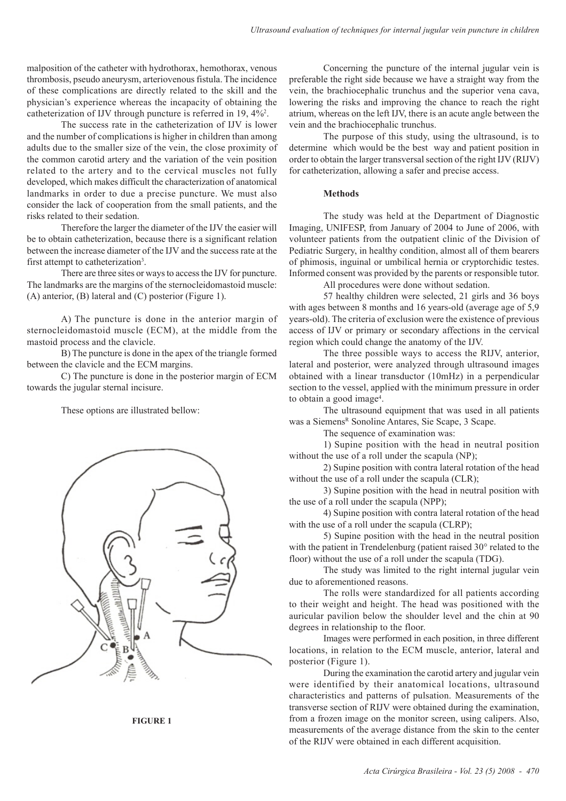malposition of the catheter with hydrothorax, hemothorax, venous thrombosis, pseudo aneurysm, arteriovenous fistula. The incidence of these complications are directly related to the skill and the physician's experience whereas the incapacity of obtaining the catheterization of IJV through puncture is referred in 19, 4%2 .

The success rate in the catheterization of IJV is lower and the number of complications is higher in children than among adults due to the smaller size of the vein, the close proximity of the common carotid artery and the variation of the vein position related to the artery and to the cervical muscles not fully developed, which makes difficult the characterization of anatomical landmarks in order to due a precise puncture. We must also consider the lack of cooperation from the small patients, and the risks related to their sedation.

Therefore the larger the diameter of the IJV the easier will be to obtain catheterization, because there is a significant relation between the increase diameter of the IJV and the success rate at the first attempt to catheterization<sup>3</sup>.

There are three sites or ways to access the IJV for puncture. The landmarks are the margins of the sternocleidomastoid muscle: (A) anterior, (B) lateral and (C) posterior (Figure 1).

A) The puncture is done in the anterior margin of sternocleidomastoid muscle (ECM), at the middle from the mastoid process and the clavicle.

B) The puncture is done in the apex of the triangle formed between the clavicle and the ECM margins.

C) The puncture is done in the posterior margin of ECM towards the jugular sternal incisure.

These options are illustrated bellow:



**FIGURE 1**

Concerning the puncture of the internal jugular vein is preferable the right side because we have a straight way from the vein, the brachiocephalic trunchus and the superior vena cava, lowering the risks and improving the chance to reach the right atrium, whereas on the left IJV, there is an acute angle between the vein and the brachiocephalic trunchus.

The purpose of this study, using the ultrasound, is to determine which would be the best way and patient position in order to obtain the larger transversal section of the right IJV (RIJV) for catheterization, allowing a safer and precise access.

## **Methods**

The study was held at the Department of Diagnostic Imaging, UNIFESP, from January of 2004 to June of 2006, with volunteer patients from the outpatient clinic of the Division of Pediatric Surgery, in healthy condition, almost all of them bearers of phimosis, inguinal or umbilical hernia or cryptorchidic testes. Informed consent was provided by the parents or responsible tutor.

All procedures were done without sedation.

57 healthy children were selected, 21 girls and 36 boys with ages between 8 months and 16 years-old (average age of 5,9 years-old). The criteria of exclusion were the existence of previous access of IJV or primary or secondary affections in the cervical region which could change the anatomy of the IJV.

The three possible ways to access the RIJV, anterior, lateral and posterior, were analyzed through ultrasound images obtained with a linear transductor (10mHz) in a perpendicular section to the vessel, applied with the minimum pressure in order to obtain a good image4 .

The ultrasound equipment that was used in all patients was a Siemens<sup>R</sup> Sonoline Antares, Sie Scape, 3 Scape.

The sequence of examination was:

1) Supine position with the head in neutral position without the use of a roll under the scapula (NP);

2) Supine position with contra lateral rotation of the head without the use of a roll under the scapula (CLR);

3) Supine position with the head in neutral position with the use of a roll under the scapula (NPP);

4) Supine position with contra lateral rotation of the head with the use of a roll under the scapula (CLRP);

5) Supine position with the head in the neutral position with the patient in Trendelenburg (patient raised 30° related to the floor) without the use of a roll under the scapula (TDG).

The study was limited to the right internal jugular vein due to aforementioned reasons.

The rolls were standardized for all patients according to their weight and height. The head was positioned with the auricular pavilion below the shoulder level and the chin at 90 degrees in relationship to the floor.

Images were performed in each position, in three different locations, in relation to the ECM muscle, anterior, lateral and posterior (Figure 1).

During the examination the carotid artery and jugular vein were identified by their anatomical locations, ultrasound characteristics and patterns of pulsation. Measurements of the transverse section of RIJV were obtained during the examination, from a frozen image on the monitor screen, using calipers. Also, measurements of the average distance from the skin to the center of the RIJV were obtained in each different acquisition.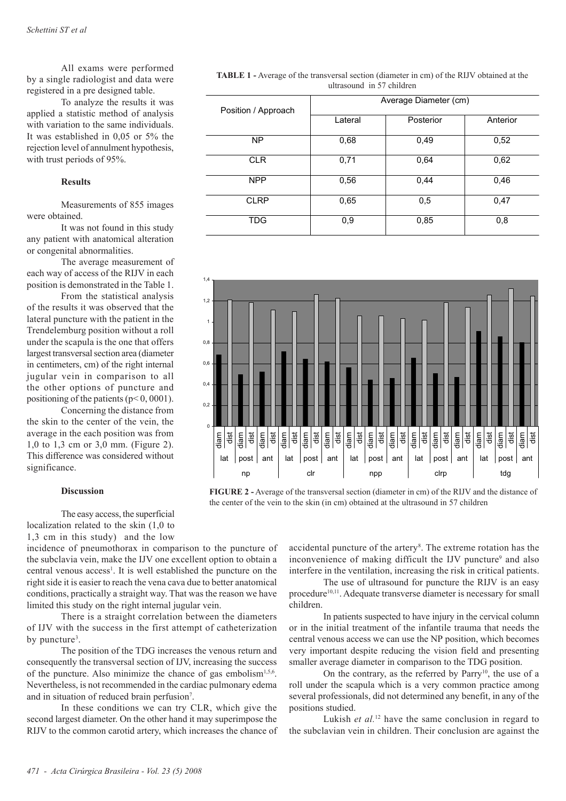All exams were performed by a single radiologist and data were registered in a pre designed table.

To analyze the results it was applied a statistic method of analysis with variation to the same individuals. It was established in 0,05 or 5% the rejection level of annulment hypothesis, with trust periods of 95%.

## **Results**

Measurements of 855 images were obtained.

It was not found in this study any patient with anatomical alteration or congenital abnormalities.

The average measurement of each way of access of the RIJV in each position is demonstrated in the Table 1.

From the statistical analysis of the results it was observed that the lateral puncture with the patient in the Trendelemburg position without a roll under the scapula is the one that offers largest transversal section area (diameter in centimeters, cm) of the right internal jugular vein in comparison to all the other options of puncture and positioning of the patients ( $p<0,0001$ ).

Concerning the distance from the skin to the center of the vein, the average in the each position was from 1,0 to 1,3 cm or 3,0 mm. (Figure 2). This difference was considered without significance.

## **Discussion**

The easy access, the superficial localization related to the skin (1,0 to 1,3 cm in this study) and the low

incidence of pneumothorax in comparison to the puncture of the subclavia vein, make the IJV one excellent option to obtain a central venous access<sup>1</sup>. It is well established the puncture on the right side it is easier to reach the vena cava due to better anatomical conditions, practically a straight way. That was the reason we have limited this study on the right internal jugular vein.

There is a straight correlation between the diameters of IJV with the success in the first attempt of catheterization by puncture<sup>3</sup>.

The position of the TDG increases the venous return and consequently the transversal section of IJV, increasing the success of the puncture. Also minimize the chance of gas embolism<sup>1,5,6</sup>. Nevertheless, is not recommended in the cardiac pulmonary edema and in situation of reduced brain perfusion<sup>7</sup>.

In these conditions we can try CLR, which give the second largest diameter. On the other hand it may superimpose the RIJV to the common carotid artery, which increases the chance of

**TABLE 1 -** Average of the transversal section (diameter in cm) of the RIJV obtained at the ultrasound in 57 children

| Average Diameter (cm) |           |          |
|-----------------------|-----------|----------|
| Lateral               | Posterior | Anterior |
| 0,68                  | 0,49      | 0,52     |
| 0,71                  | 0,64      | 0,62     |
| 0,56                  | 0,44      | 0,46     |
| 0,65                  | 0,5       | 0,47     |
| 0,9                   | 0,85      | 0,8      |
|                       |           |          |



**FIGURE 2 -** Average of the transversal section (diameter in cm) of the RIJV and the distance of the center of the vein to the skin (in cm) obtained at the ultrasound in 57 children

accidental puncture of the artery<sup>8</sup>. The extreme rotation has the inconvenience of making difficult the IJV puncture<sup>9</sup> and also interfere in the ventilation, increasing the risk in critical patients.

The use of ultrasound for puncture the RIJV is an easy procedure<sup>10,11</sup>. Adequate transverse diameter is necessary for small children.

In patients suspected to have injury in the cervical column or in the initial treatment of the infantile trauma that needs the central venous access we can use the NP position, which becomes very important despite reducing the vision field and presenting smaller average diameter in comparison to the TDG position.

On the contrary, as the referred by Parry<sup>10</sup>, the use of a roll under the scapula which is a very common practice among several professionals, did not determined any benefit, in any of the positions studied.

Lukish *et al.*<sup>12</sup> have the same conclusion in regard to the subclavian vein in children. Their conclusion are against the